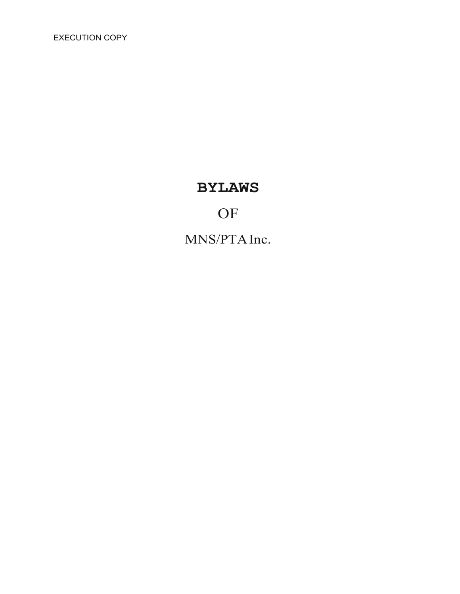EXECUTION COPY

# **BYLAWS**

# **OF**

MNS/PTAInc.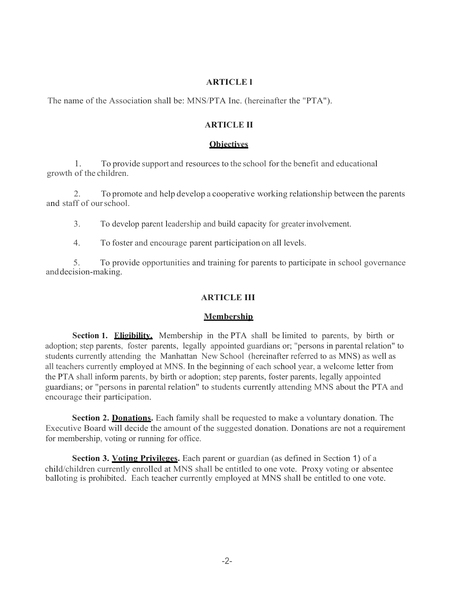# **ARTICLE l**

The name of the Association shall be: MNS/PTA Inc. (hereinafter the "PTA").

## **ARTICLE II**

#### **Objectives**

1. To provide support and resources to the school for the benefit and educational growth of the children.

2. To promote and help develop a cooperative working relationship between the parents and staff of ourschool.

3. To develop parent leadership and build capacity for greaterinvolvement.

4. To foster and encourage parent participation on all levels.

5. To provide opportunities and training for parents to participate in school governance anddecision-making.

## **ARTICLE III**

#### **Membership**

**Section 1. Eligibility.** Membership in the PTA shall be limited to parents, by birth or adoption; step parents, foster parents, legally appointed guardians or; "persons in parental relation" to students currently attending the Manhattan New School (hereinafter referred to as MNS) as well as all teachers currently employed at MNS. In the beginning of each school year, a welcome letter from the PTA shall inform parents, by birth or adoption; step parents, foster parents, legally appointed guardians; or "persons in parental relation" to students currently attending MNS about the PTA and encourage their participation.

**Section 2. Donations.** Each family shall be requested to make a voluntary donation. The Executive Board will decide the amount of the suggested donation. Donations are not a requirement for membership, voting or running for office.

**Section 3. Voting Privileges.** Each parent or guardian (as defined in Section 1) of a child/children currently enrolled at MNS shall be entitled to one vote. Proxy voting or absentee balloting is prohibited. Each teacher currently employed at MNS shall be entitled to one vote.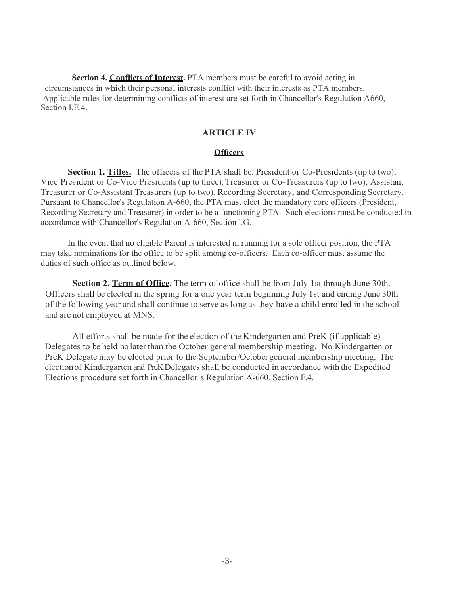**Section 4. Conflicts of Interest.** PTA members must be careful to avoid acting in circumstances in which their personal interests conflict with their interests as PTA members. Applicable rules for determining conflicts of interest are set forth in Chancellor's Regulation A660, Section I.E.4.

### **ARTICLE IV**

## **Officers**

**Section 1. Titles.** The officers of the PTA shall be: President or Co-Presidents (up to two), Vice President or Co-Vice Presidents(up to three), Treasurer or Co-Treasurers (up to two), Assistant Treasurer or Co-Assistant Treasurers (up to two), Recording Secretary, and Corresponding Secretary. Pursuant to Chancellor's Regulation A-660, the PTA must elect the mandatory core officers (President, Recording Secretary and Treasurer) in order to be a functioning PTA. Such elections must be conducted in accordance with Chancellor's Regulation A-660, Section l.G.

In the event that no eligible Parent is interested in running for a sole officer position, the PTA may take nominations for the office to be split among co-officers. Each co-officer must assume the duties of such office as outlined below.

**Section 2. Term of Office.** The term of office shall be from July 1st through June 30th. Officers shall be elected in the spring for a one year term beginning July 1st and ending June 30th of the following year and shall continue to serve as long as they have a child enrolled in the school and are not employed at MNS.

All efforts shall be made for the election of the Kindergarten and PreK (if applicable) Delegates to be held no later than the October general membership meeting. No Kindergarten or PreK Delegate may be elected prior to the September/October general membership meeting. The election of Kindergarten and PreK Delegates shall be conducted in accordance with the Expedited Elections procedure set forth in Chancellor's Regulation A-660, Section F.4.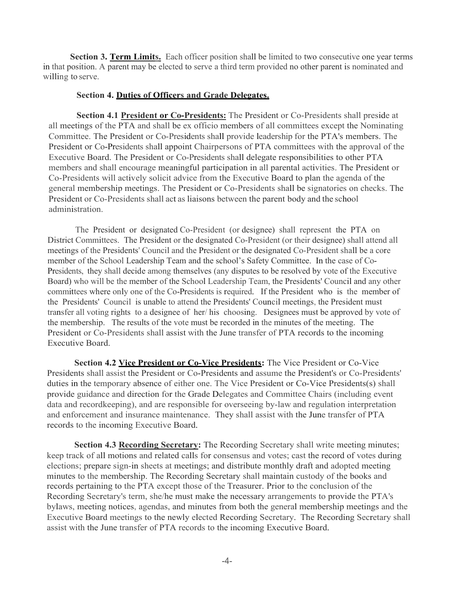Section 3. Term Limits. Each officer position shall be limited to two consecutive one year terms in that position. A parent may be elected to serve a third term provided no other parent is nominated and willing to serve.

### **Section 4. Duties of Officers and Grade Delegates.**

**Section 4.1 President or Co-Presidents:** The President or Co-Presidents shall preside at all meetings of the PTA and shall be ex officio members of all committees except the Nominating Committee. The President or Co-Presidents shall provide leadership for the PTA's members. The President or Co-Presidents shall appoint Chairpersons of PTA committees with the approval of the Executive Board. The President or Co-Presidents shall delegate responsibilities to other PTA members and shall encourage meaningful participation in all parental activities. The President or Co-Presidents will actively solicit advice from the Executive Board to plan the agenda of the general membership meetings. The President or Co-Presidents shall be signatories on checks. The President or Co-Presidents shall act as liaisons between the parent body and the school administration.

The President or designated Co-President (or designee) shall represent the PTA on District Committees. The President or the designated Co-President (or their designee) shall attend all meetings of the Presidents' Council and the President or the designated Co-President shall be a core member of the School Leadership Team and the school's Safety Committee. In the case of Co-Presidents, they shall decide among themselves (any disputes to be resolved by vote of the Executive Board) who will be the member of the School Leadership Team, the Presidents' Council and any other committees where only one of the Co-Presidents is required. If the President who is the member of the Presidents' Council is unable to attend the Presidents' Council meetings, the President must transfer all voting rights to a designee of her/ his choosing. Designees must be approved by vote of the membership. The results of the vote must be recorded in the minutes of the meeting. The President or Co-Presidents shall assist with the June transfer of PTA records to the incoming Executive Board.

**Section 4.2 Vice President or Co-Vice Presidents:** The Vice President or Co-Vice Presidents shall assist the President or Co-Presidents and assume the President's or Co-Presidents' duties in the temporary absence of either one. The Vice President or Co-Vice Presidents(s) shall provide guidance and direction for the Grade Delegates and Committee Chairs (including event data and recordkeeping), and are responsible for overseeing by-law and regulation interpretation and enforcement and insurance maintenance. They shall assist with the June transfer of PTA records to the incoming Executive Board.

**Section 4.3 Recording Secretary:** The Recording Secretary shall write meeting minutes; keep track of all motions and related calls for consensus and votes; cast the record of votes during elections; prepare sign-in sheets at meetings; and distribute monthly draft and adopted meeting minutes to the membership. The Recording Secretary shall maintain custody of the books and records pertaining to the PTA except those of the Treasurer. Prior to the conclusion of the Recording Secretary's term, she/he must make the necessary arrangements to provide the PTA's bylaws, meeting notices, agendas, and minutes from both the general membership meetings and the Executive Board meetings to the newly elected Recording Secretary. The Recording Secretary shall assist with the June transfer of PTA records to the incoming Executive Board.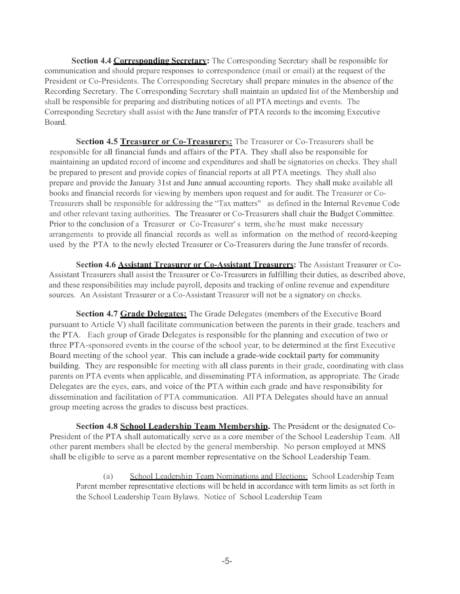**Section 4.4 Corresponding Secretary:** The Corresponding Secretary shall be responsible for communication and should prepare responses to correspondence (mail or email) at the request of the President or Co-Presidents. The Corresponding Secretary shall prepare minutes in the absence of the Recording Secretary. The Corresponding Secretary shall maintain an updated list of the Membership and shall be responsible for preparing and distributing notices of all PTA meetings and events. The Corresponding Secretary shall assist with the June transfer of PTA records to the incoming Executive Board.

**Section 4.5 Treasurer or Co-Treasurers:** The Treasurer or Co-Treasurers shall be responsible for all financial funds and affairs of the PTA. They shall also be responsible for maintaining an updated record of income and expenditures and shall be signatories on checks. They shall be prepared to present and provide copies of financial reports at all PTA meetings. They shall also prepare and provide the January 31st and June annual accounting reports. They shall make available all books and financial records for viewing by members upon request and for audit. The Treasurer or Co-Treasurers shall be responsible for addressing the "Tax matters" as defined in the Internal Revenue Code and other relevant taxing authorities. The Treasurer or Co-Treasurers shall chair the Budget Committee. Prior to the conclusion of a Treasurer or Co-Treasurer' s term, she/he must make necessary arrangements to provide all financial records as well as information on the method of record-keeping used by the PTA to the newly elected Treasurer or Co-Treasurers during the June transfer of records.

**Section 4.6 Assistant Treasurer or Co-Assistant Treasurers:** The Assistant Treasurer or Co-Assistant Treasurers shall assist the Treasurer or Co-Treasurers in fulfilling their duties, as described above, and these responsibilities may include payroll, deposits and tracking of online revenue and expenditure sources. An Assistant Treasurer or a Co-Assistant Treasurer will not be a signatory on checks.

**Section 4.7 Grade Delegates:** The Grade Delegates (members of the Executive Board pursuant to Article V) shall facilitate communication between the parents in their grade, teachers and the PTA. Each group of Grade Delegates is responsible for the planning and execution of two or three PTA-sponsored events in the course of the school year, to be determined at the first Executive Board meeting of the school year. This can include a grade-wide cocktail party for community building. They are responsible for meeting with all class parents in their grade, coordinating with class parents on PTA events when applicable, and disseminating PTA information, as appropriate. The Grade Delegates are the eyes, ears, and voice of the PTA within each grade and have responsibility for dissemination and facilitation of PTA communication. All PTA Delegates should have an annual group meeting across the grades to discuss best practices.

**Section 4.8 School Leadership Team Membership.** The President or the designated Co-President of the PTA shall automatically serve as a core member of the School Leadership Team. All other parent members shall be elected by the general membership. No person employed at MNS shall be eligible to serve as a parent member representative on the School Leadership Team.

(a) School Leadership Team Nominations and Elections: School Leadership Team Parent member representative elections will be held in accordance with term limits as set forth in the School Leadership Team Bylaws. Notice of School Leadership Team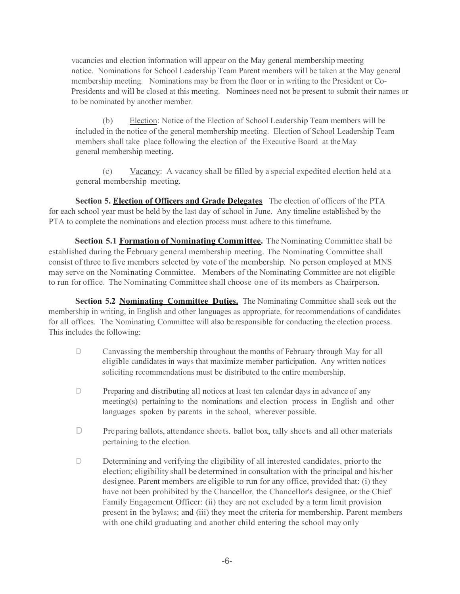vacancies and election information will appear on the May general membership meeting notice. Nominations for School Leadership Team Parent members will be taken at the May general membership meeting. Nominations may be from the floor or in writing to the President or Co-Presidents and will be closed at this meeting. Nominees need not be present to submit their names or to be nominated by another member.

(b) Election: Notice of the Election of School Leadership Team members will be included in the notice of the general membership meeting. Election of School Leadership Team members shall take place following the election of the Executive Board at theMay general membership meeting.

(c) Vacancy: A vacancy shall be filled by a special expedited election held at a general membership meeting.

**Section 5. Election of Officers and Grade Delegates** The election of officers of the PTA for each school year must be held by the last day of school in June. Any timeline established by the PTA to complete the nominations and election process must adhere to this timeframe.

**Section 5.1 Formation of Nominating Committee.** The Nominating Committee shall be established during the February general membership meeting. The Nominating Committee shall consist of three to five members selected by vote of the membership. No person employed at MNS may serve on the Nominating Committee. Members of the Nominating Committee are not eligible to run for office. The Nominating Committee shall choose one of its members as Chairperson.

**Section 5.2 Nominating Committee Duties.** The Nominating Committee shall seek out the membership in writing, in English and other languages as appropriate, for recommendations of candidates for all offices. The Nominating Committee will also be responsible for conducting the election process. This includes the following:

- D Canvassing the membership throughout the months of February through May for all eligible candidates in ways that maximize member participation. Any written notices soliciting recommendations must be distributed to the entire membership.
- D Preparing and distributing all notices at least ten calendar days in advance of any meeting(s) pertaining to the nominations and election process in English and other languages spoken by parents in the school, wherever possible.
- D Preparing ballots, attendance sheets. ballot box, tally sheets and all other materials pertaining to the election.
- D Determining and verifying the eligibility of all interested candidates, prior to the election; eligibility shall be determined in consultation with the principal and his/her designee. Parent members are eligible to run for any office, provided that: (i) they have not been prohibited by the Chancellor, the Chancellor's designee, or the Chief Family Engagement Officer: (ii) they are not excluded by a term limit provision present in the bylaws; and (iii) they meet the criteria for membership. Parent members with one child graduating and another child entering the school may only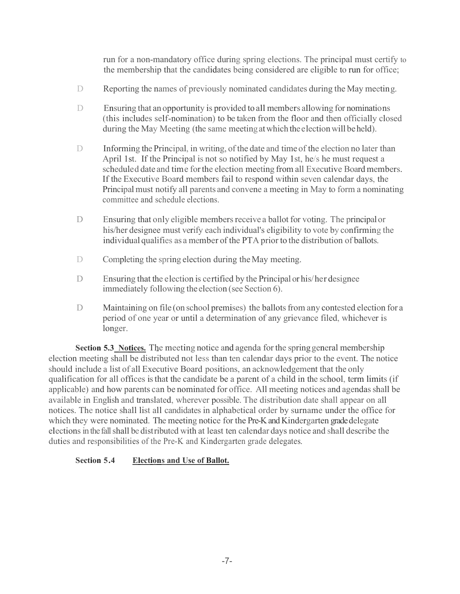run for a non-mandatory office during spring elections. The principal must certify to the membership that the candidates being considered are eligible to run for office;

- D Reporting the names of previously nominated candidates during the May meeting.
- D Ensuring that an opportunity is provided to all members allowing for nominations (this includes self-nomination) to be taken from the floor and then officially closed during the May Meeting (the same meeting at which the election will be held).
- D Informing the Principal, in writing, of the date and time of the election no later than April 1st. If the Principal is not so notified by May 1st, he/s he must request a scheduled date and time forthe election meeting from all Executive Board members. If the Executive Board members fail to respond within seven calendar days, the Principal must notify all parents and convene a meeting in May to form a nominating committee and schedule elections.
- D Ensuring that only eligible members receive a ballot for voting. The principal or his/her designee must verify each individual's eligibility to vote by confirming the individual qualifies as a member of the PTA prior to the distribution of ballots.
- D Completing the spring election during the May meeting.
- D Ensuring that the election is certified by the Principal or his/her designee immediately following the election (see Section 6).
- D Maintaining on file (on school premises) the ballots from any contested election for a period of one year or until a determination of any grievance filed, whichever is longer.

**Section 5.3 Notices.** The meeting notice and agenda for the springgeneral membership election meeting shall be distributed not less than ten calendar days prior to the event. The notice should include a list of all Executive Board positions, an acknowledgement that the only qualification for all offices is that the candidate be a parent of a child in the school, term limits (if applicable) and how parents can be nominated for office. All meeting notices and agendasshall be available in English and translated, wherever possible. The distribution date shall appear on all notices. The notice shall list all candidates in alphabetical order by surname under the office for which they were nominated. The meeting notice for the Pre-K and Kindergarten grade delegate electionsin the fall shall be distributed with at least ten calendar days notice and shall describe the duties and responsibilities of the Pre-K and Kindergarten grade delegates.

# **Section 5.4 Elections and Use of Ballot.**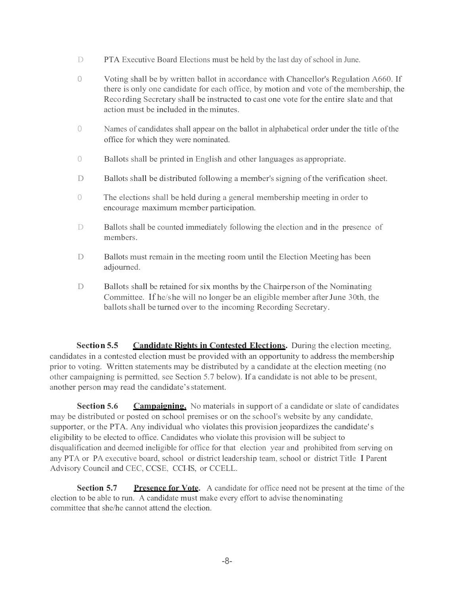- D PTA Executive Board Elections must be held by the last day of school in June.
- 0 Voting shall be by written ballot in accordance with Chancellor's Regulation A660. If there is only one candidate for each office, by motion and vote of the membership, the Recording Secretary shalI be instructed to cast one vote for the entire slate and that action must be included in the minutes.
- 0 Names of candidates shall appear on the ballot in alphabetical order under the title of the office for which they were nominated.
- 0 Ballots shall be printed in English and other languages as appropriate.
- D Ballots shall be distributed following a member's signing of the verification sheet.
- 0 The elections shall be held during a general membership meeting in order to encourage maximum member participation.
- D Ballots shall be counted immediately following the election and in the presence of members.
- D Ballots must remain in the meeting room until the Election Meeting has been adjourned.
- D Ballots shall be retained for six months by the Chairperson of the Nominating Committee. If he/she will no longer be an eligible member afterJune 30th, the ballots shall be turned over to the incoming Recording Secretary.

**Section 5.5 Candidate Rights in Contested Elections.** During the election meeting, candidates in a contested election must be provided with an opportunity to address the membership prior to voting. Written statements may be distributed by a candidate at the election meeting (no other campaigning is permitted, see Section 5.7 below). If a candidate is not able to be present, another person may read the candidate'sstatement.

**Section 5.6 Campaigning.** No materials in support of a candidate or slate of candidates may be distributed or posted on school premises or on the school's website by any candidate, supporter, or the PTA. Any individual who violates this provision jeopardizes the candidate's eligibility to be elected to office. Candidates who violate this provision will be subject to disqualification and deemed ineligible for office for that election year and prohibited from serving on any PTA or PA executive board, school or district leadership team, school or district Title I Parent Advisory Council and CEC, CCSE, CCI-IS, or CCELL.

**Section 5.7 Presence for Vote.** A candidate for office need not be present at the time of the election to be able to run. A candidate must make every effort to advise thenominating committee that she/he cannot attend the election.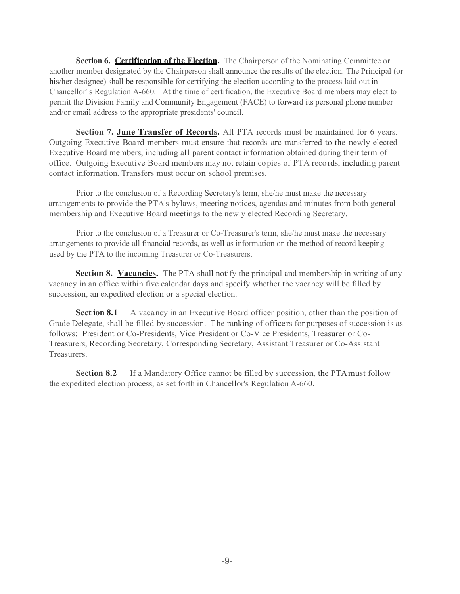**Section 6. Certification of the Election.** The Chairperson of the Nominating Committee or another member designated by the Chairperson shall announce the results of the election. The Principal (or his/her designee) shall be responsible for certifying the election according to the process laid out in Chancellor' s Regulation A-660. At the time of certification, the Executive Board members may elect to permit the Division Family and Community Engagement (FACE) to forward its personal phone number and/or email address to the appropriate presidents' council.

**Section 7. June Transfer of Records.** All PTA records must be maintained for 6 years. Outgoing Executive Boa rd members must ensure that records arc transferred to the newly elected Executive Board members, including all parent contact information obtained during their term of office. Outgoing Executive Board members may not retain copies of PTA records, including parent contact information. Transfers must occur on school premises.

Prior to the conclusion of a Recording Secretary's term, she/he must make the necessary arrangements to provide the PTA's bylaws, meeting notices, agendas and minutes from both general membership and Executive Board meetings to the newly elected Recording Secretary.

Prior to the conclusion of a Treasurer or Co-Treasurer's term, she/he must make the necessary arrangements to provide all financial records, as well as information on the method of record keeping used by the PTA to the incoming Treasurer or Co-Treasurers.

**Section 8. Vacancies.** The PTA shall notify the principal and membership in writing of any vacancy in an office within five calendar days and specify whether the vacancy will be filled by succession, an expedited election or a special election.

**Sect ion 8.1** A vacancy in an Executive Board officer position, other than the position of Grade Delegate, shall be filled by succession. The ranking of officers for purposes of succession is as follows: President or Co-Presidents, Vice President or Co-Vice Presidents, Treasurer or Co-Treasurers, Recording Secretary, Corresponding Secretary, Assistant Treasurer or Co-Assistant Treasurers.

**Section 8.2** If a Mandatory Office cannot be filled by succession, the PTA must follow the expedited election process, as set forth in Chancellor's Regulation A-660.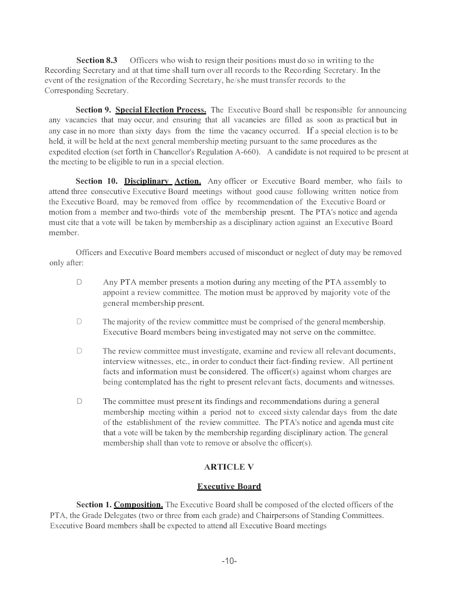**Section 8.3** Officers who wish to resign their positions must do so in writing to the Recording Secretary and at that time shall turn over all records to the Recording Secretary. In the event of the resignation of the Recording Secretary, he/she must transfer records to the Corresponding Secretary.

**Section 9. Special Election Process.** The Executive Board shall be responsible for announcing any vacancies that may occur, and ensuring that all vacancies are filled as soon as practical but in any case in no more than sixty days from the time the vacancy occurred. If a special election is to be held, it will be held at the next general membership meeting pursuant to the same procedures as the expedited election (set forth in Chancellor's Regulation A-660). A candidate is not required to be present at the meeting to be eligible to run in a special election.

Section 10. Disciplinary Action. Any officer or Executive Board member, who fails to attend three consecutive Executive Board meetings without good cause following written notice from the Executive Board, may be removed from office by recommendation of the Executive Board or motion from a member and two-thirds vote of the membership present. The PTA's notice and agenda must cite that a vote will be taken by membership as a disciplinary action against an Executive Board member.

Officers and Executive Board members accused of misconduct or neglect of duty may be removed only after:

- D Any PTA member presents a motion during any meeting of the PTA assembly to appoint a review committee. The motion must be approved by majority vote of the general membership present.
- D The majority of the review committee must be comprised of the general membership. Executive Board members being investigated may not serve on the committee.
- D The review committee must investigate, examine and review all relevant documents, interview witnesses, etc., in order to conduct their fact-finding review. All pertinent facts and information must be considered. The officer(s) against whom charges are being contemplated has the right to present relevant facts, documents and witnesses.
- D The committee must present its findings and recommendations during a general membership meeting within a period not to exceed sixty calendar days from the date of the establishment of the review committee. The PTA's notice and agenda must cite that a vote will be taken by the membership regarding disciplinary action. The general membership shall than vote to remove or absolve the officer(s).

# **ARTICLE V**

# **Executive Board**

**Section 1. Composition.** The Executive Board shall be composed of the elected officers of the PTA, the Grade Delegates (two or three from each grade) and Chairpersons of Standing Committees. Executive Board members shall be expected to attend all Executive Board meetings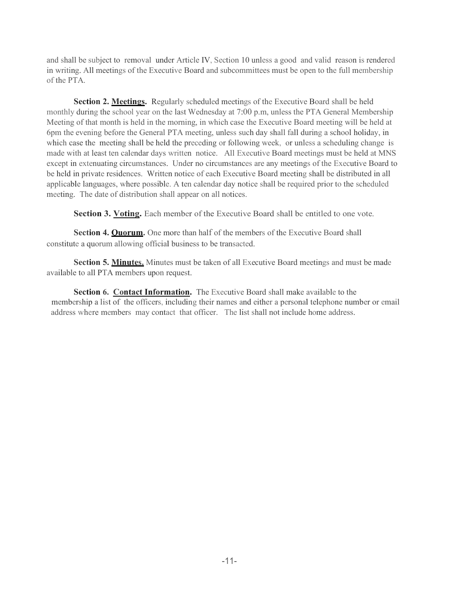and shall be subject to removal under Article IV, Section 10 unless a good and valid reason is rendered in writing. All meetings of the Executive Board and subcommittees must be open to the full membership of the PTA.

**Section 2. Meetings.** Regularly scheduled meetings of the Executive Board shall be held monthly during the school year on the last Wednesday at 7:00 p.m, unless the PTA General Membership Meeting of that month is held in the morning, in which case the Executive Board meeting will be held at 6pm the evening before the General PTA meeting, unless such day shall fall during a school holiday, in which case the meeting shall be held the preceding or following week, or unless a scheduling change is made with at least ten calendar days written notice. All Executive Board meetings must be held at MNS except in extenuating circumstances. Under no circumstances are any meetings of the Executive Board to be held in private residences. Written notice of each Executive Board meeting shall be distributed in all applicable languages, where possible. A ten calendar day notice shall be required prior to the scheduled meeting. The date of distribution shall appear on all notices.

**Section 3. Voting.** Each member of the Executive Board shall be entitled to one vote.

**Section 4. Quorum.** One more than half of the members of the Executive Board shall constitute a quorum allowing official business to be transacted.

**Section 5. Minutes.** Minutes must be taken of all Executive Board meetings and must be made available to all PTA members upon request.

**Section 6. Contact Information.** The Executive Board shall make available to the membership a list of the officers, including their names and either a personal telephone number or email address where members may contact that officer. The list shall not include home address.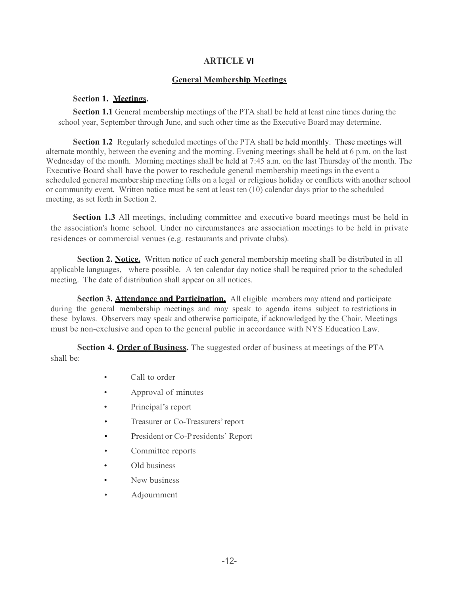# **ARTICLE VI**

### **General Membership Meetings**

### **Section 1. Meetings.**

**Section 1.1** General membership meetings of the PTA shall be held at least nine times during the school year, September through June, and such other time as the Executive Board may determine.

**Section 1.2** Regularly scheduled meetings of the PTA shall be held monthly. These meetings will alternate monthly, between the evening and the morning. Evening meetings shall be held at 6 p.m. on the last Wednesday of the month. Morning meetings shall be held at 7:45 a.m. on the last Thursday of the month. The Executive Board shall have the power to reschedule general membership meetings in the event a scheduled general membership meeting falls on a legal or religious holiday or conflicts with another school or community event. Written notice must be sent at least ten (10) calendar days prior to the scheduled meeting, as set forth in Section 2.

**Section 1.3** All meetings, including committee and executive board meetings must be held in the association's home school. Under no circumstances are association meetings to be held in private residences or commercial venues (e.g. restaurants and private clubs).

**Section 2. Notice.** Written notice of each general membership meeting shall be distributed in all applicable languages, where possible. A ten calendar day notice shall be required prior to the scheduled meeting. The date of distribution shall appear on all notices.

**Section 3. Attendance and Participation.** All eligible members may attend and participate during the general membership meetings and may speak to agenda items subject to restrictions in these bylaws. Observers may speak and otherwise participate, if acknowledged by the Chair. Meetings must be non-exclusive and open to the general public in accordance with NYS Education Law.

**Section 4. Order of Business.** The suggested order of business at meetings of the PTA shall be:

- Call to order
- Approval of minutes
- Principal's report
- Treasurer or Co-Treasurers' report
- President or Co-Presidents' Report
- Committee reports
- Old business
- New business
- Adjournment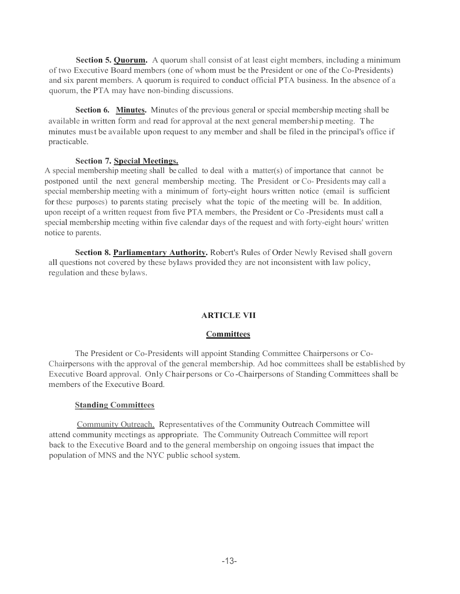**Section 5. Quorum.** A quorum shall consist of at least eight members, including a minimum of two Executive Board members (one of whom must be the President or one of the Co-Presidents) and six parent members. A quorum is required to conduct official PTA business. In the absence of a quorum, the PTA may have non-binding discussions.

**Section 6. Minutes.** Minutes of the previous general or special membership meeting shall be available in written form and read for approval at the next general membership meeting. The minutes must be available upon request to any member and shall be filed in the principal's office if practicable.

## **Section 7. Special Meetings.**

A special membership meeting shall be called to deal with a matter(s) of importance that cannot be postponed until the next general membership meeting. The President or Co- Presidents may call a special membership meeting with a minimum of forty-eight hours written notice (email is sufficient for these purposes) to parents stating precisely what the topic of the meeting will be. In addition, upon receipt of a written request from five PTA members, the President or Co -Presidents must call a special membership meeting within five calendar days of the request and with forty-eight hours' written notice to parents.

**Section 8. Parliamentary Authority.** Robert's Rules of Order Newly Revised shall govern all questions not covered by these bylaws provided they are not inconsistent with law policy, regulation and these bylaws.

### **ARTICLE VII**

### **Committees**

The President or Co-Presidents will appoint Standing Committee Chairpersons or Co-Chairpersons with the approval of the general membership. Ad hoc committees shall be established by Executive Board approval. Only Chair persons or Co -Chairpersons of Standing Committees shall be members of the Executive Board.

### **Standing Committees**

Community Outreach. Representatives of the Community Outreach Committee will attend community meetings as appropriate. The Community Outreach Committee will report back to the Executive Board and to the general membership on ongoing issues that impact the population of MNS and the NYC public school system.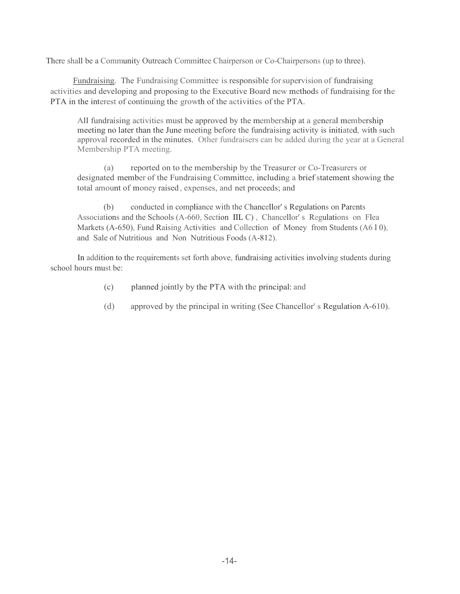There shall be a Community Outreach Committee Chairperson or Co-Chairpersons (up to three).

Fundraising. The Fundraising Committee is responsible forsupervision of fundraising activities and developing and proposing to the Executive Board new methods of fundraising for the PTA in the interest of continuing the growth of the activities of the PTA.

All fundraising activities must be approved by the membership at a general membership meeting no later than the June meeting before the fundraising activity is initiated, with such approval recorded in the minutes. Other fundraisers can be added during the year at a General Membership PTA meeting.

(a) reported on to the membership by the Treasurer or Co-Treasurers or designated member of the Fundraising Committee, including a brief statement showing the total amount of money raised , expenses, and net proceeds; and

(b) conducted in compliance with the Chancellor' s Regulations on Parents Associations and the Schools (A-660, Section IIL C) , Chancellor' s Regulations on Flea Markets (A-650), Fund Raising Activities and Collection of Money from Students (A610), and Sale of Nutritious and Non Nutritious Foods (A-812).

In addition to the requirements set forth above, fundraising activities involving students during school hours must be:

- (c) planned jointly by the PTA with the principal: and
- (d) approved by the principal in writing (See Chancellor' s Regulation A-610).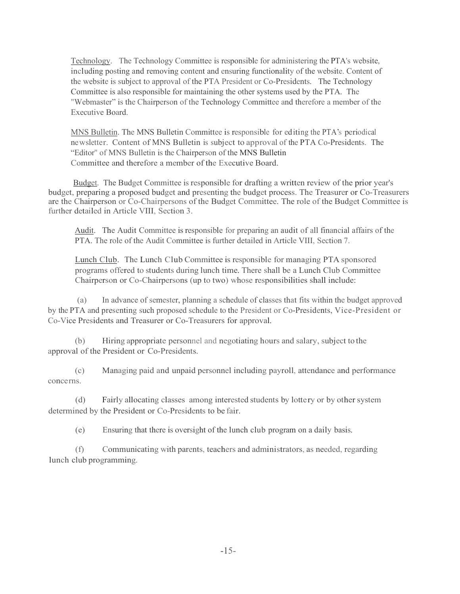Technology. The Technology Committee is responsible for administering the PTA's website, including posting and removing content and ensuring functionality of the website. Content of the website is subject to approval of the PTA President or Co-Presidents. The Technology Committee is also responsible for maintaining the other systems used by the PTA. The "Webmaster" is the Chairperson of the Technology Committee and therefore a member of the Executive Board.

MNS Bulletin. The MNS Bulletin Committee is responsible for editing the PTA's periodical newsletter. Content of MNS Bulletin is subject to approval of the PTA Co-Presidents. The "Editor" of MNS Bulletin is the Chairperson of the MNS Bulletin Committee and therefore a member of the Executive Board.

 Budget. The Budget Committee is responsible for drafting a written review of the prior year's budget, preparing a proposed budget and presenting the budget process. The Treasurer or Co-Treasurers are the Chairperson or Co-Chairpersons of the Budget Committee. The role of the Budget Committee is further detailed in Article VIII, Section 3.

Audit. The Audit Committee is responsible for preparing an audit of all financial affairs of the PTA. The role of the Audit Committee is further detailed in Article VIII, Section 7.

Lunch Club. The Lunch Club Committee is responsible for managing PTA sponsored programs offered to students during lunch time. There shall be a Lunch Club Committee Chairperson or Co-Chairpersons (up to two) whose responsibilities shall include:

(a) In advance of semester, planning a schedule of classes that fits within the budget approved by the PTA and presenting such proposed schedule to the President or Co-Presidents, Vice-President or Co-Vice Presidents and Treasurer or Co-Treasurers for approval.

(b) Hiring appropriate personnel and negotiating hours and salary, subject to the approval of the President or Co-Presidents.

(c) Managing paid and unpaid personnel including payroll, attendance and performance concerns.

(d) Fairly allocating classes among interested students by lottery or by other system determined by the President or Co-Presidents to be fair.

(e) Ensuring that there is oversight of the lunch club program on a daily basis.

(f) Communicating with parents, teachers and administrators, as needed, regarding lunch club programming.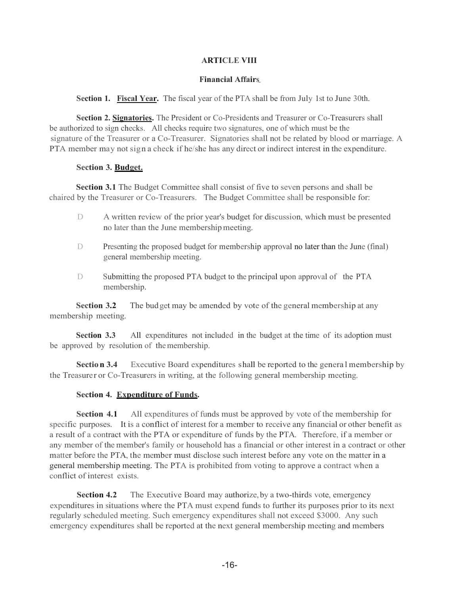## **ARTICLE VIII**

#### **Financial Affairs**

Section 1. Fiscal Year. The fiscal year of the PTA shall be from July 1st to June 30th.

**Section 2. Signatories.** The President or Co-Presidents and Treasurer or Co-Treasurers shall be authorized to sign checks. All checks require two signatures, one of which must be the signature of the Treasurer or a Co-Treasurer. Signatories shall not be related by blood or marriage. A PTA member may not sign a check if he/she has any direct or indirect interest in the expenditure.

### **Section 3. Budget.**

**Section 3.1** The Budget Committee shall consist of five to seven persons and shall be chaired by the Treasurer or Co-Treasurers. The Budget Committee shall be responsible for:

- D A written review of the prior year's budget for discussion, which must be presented no later than the June membershipmeeting.
- D Presenting the proposed budget for membership approval no later than the June (final) general membership meeting.
- D Submitting the proposed PTA budget to the principal upon approval of the PTA membership.

**Section 3.2** The budget may be amended by vote of the general membership at any membership meeting.

**Section 3.3** All expenditures not included in the budget at the time of its adoption must be approved by resolution of themembership.

**Section 3.4** Executive Board expenditures shall be reported to the genera l membership by the Treasurer or Co-Treasurers in writing, at the following general membership meeting.

# **Section 4. Expenditure of Funds.**

**Section 4.1** All expenditures of funds must be approved by vote of the membership for specific purposes. It is a conflict of interest for a member to receive any financial or other benefit as a result of a contract with the PTA or expenditure of funds by the PTA. Therefore, if a member or any member of the member's family or household has a financial or other interest in a contract or other matter before the PTA, the member must disclose such interest before any vote on the matter in a general membership meeting. The PTA is prohibited from voting to approve a contract when a conflict of interest exists.

**Section 4.2** The Executive Board may authorize, by a two-thirds vote, emergency expenditures in situations where the PTA must expend funds to further its purposes prior to its next regularly scheduled meeting. Such emergency expenditures shall not exceed \$3000. Any such emergency expenditures shall be reported at the next general membership meeting and members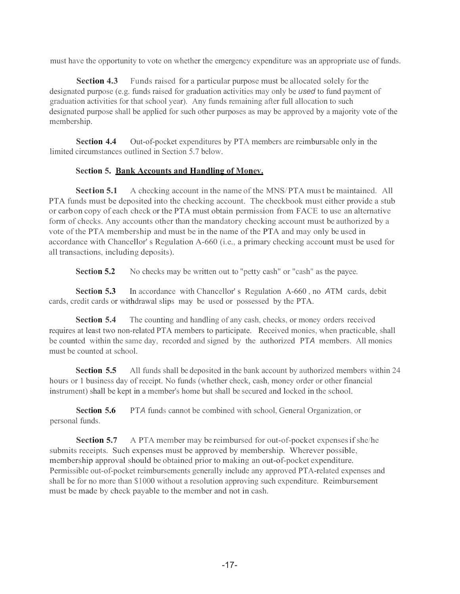must have the opportunity to vote on whether the emergency expenditure was an appropriate use of funds.

**Section 4.3** Funds raised for a particular purpose must be allocated solely for the designated purpose (e.g. funds raised for graduation activities may only be *used* to fund payment of graduation activities for that school year). Any funds remaining after full allocation to such designated purpose shall be applied for such other purposes as may be approved by a majority vote of the membership.

**Section 4.4** Out-of-pocket expenditures by PTA members are reimbursable only in the limited circumstances outlined in Section 5.7 below.

## **Section 5. Bank Accounts and Handling of Monev.**

**Section 5.1** A checking account in the name of the MNS/PTA must be maintained. All PTA funds must be deposited into the checking account. The checkbook must either provide a stub or carbon copy of each check or the PTA must obtain permission from FACE to use an alternative form of checks. Any accounts other than the mandatory checking account must be authorized by a vote of the PTA membership and must be in the name of the PTA and may only be used in accordance with Chancellor' s Regulation A-660 (i.e., a primary checking account must be used for all transactions, including deposits).

**Section 5.2** No checks may be written out to "petty cash" or "cash" as the payee.

**Section 5.3** In accordance with Chancellor' s Regulation A-660 , no *A*TM cards, debit cards, credit cards or withdrawal slips may be used or possessed by the PTA.

**Section 5.4** The counting and handling of any cash, checks, or money orders received requires at least two non-related PTA members to participate. Received monies, when practicable, shall be counted within the same day, recorded and signed by the authorized PT*A* members. All monies must be counted at school.

**Section 5.5** All funds shall be deposited in the bank account by authorized members within 24 hours or 1 business day of receipt. No funds (whether check, cash, money order or other financial instrument) shall be kept in a member's home but shall be secured and locked in the school.

**Section 5.6** PT*A* funds cannot be combined with school, General Organization, or personal funds.

**Section 5.7** A PTA member may be reimbursed for out-of-pocket expenses if she/he submits receipts. Such expenses must be approved by membership. Wherever possible, membership approval should be obtained prior to making an out-of-pocket expenditure. Permissible out-of-pocket reimbursements generally include any approved PTA-related expenses and shall be for no more than \$1000 without a resolution approving such expenditure. Reimbursement must be made by check payable to the member and not in cash.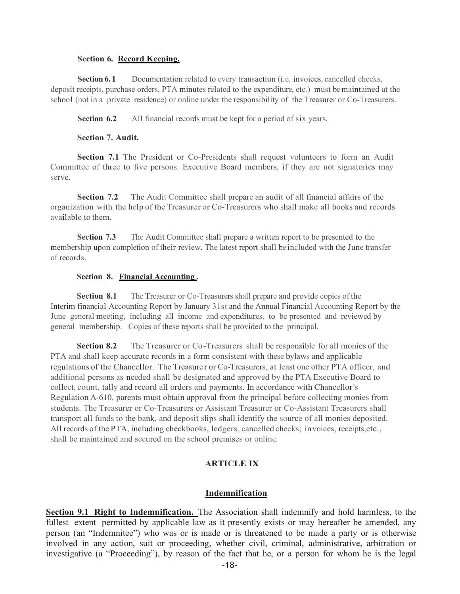#### **Section 6. Record Keeping.**

**Section 6.1** Documentation related to every transaction (i.e, invoices, cancelled checks, deposit receipts, purchase orders, PTA minutes related to the expenditure, etc.) must be maintained at the school (not in a private residence) or online under the responsibility of the Treasurer or Co-Treasurers.

**Section 6.2** All financial records must be kept for a period of six years.

#### **Section 7. Audit.**

**Section 7.1** The President or Co-Presidents shall request volunteers to form an Audit Committee of three to five persons. Executive Board members, if they are not signatories may serve.

**Section 7.2** The Audit Committee shall prepare an audit of all financial affairs of the organization with the help of the Treasurer or Co-Treasurers who shall make all books and records available to them.

**Section 7.3** The Audit Committee shall prepare a written report to be presented to the membership upon completion of their review. The latest report shall be included with the June transfer of records.

#### **Section 8. Financial Accounting .**

**Section 8.1** The Treasurer or Co-Treasurers shall prepare and provide copies of the Interim financial Accounting Report by January 31st and the Annual Financial Accounting Report by the June general meeting, including all income and expenditures, to be presented and reviewed by general membership. Copies of these reports shall be provided to the principal.

**Section 8.2** The Treasurer or Co-Treasurers shall be responsible for all monies of the PTA and shall keep accurate records in a form consistent with these bylaws and applicable regulations of the Chancellor. The Treasure r or Co-Treasurers, at least one other PTA officer, and additional persons as needed shall be designated and approved by the PTA Executive Board to collect, count, tally and record all orders and payments. In accordance with Chancellor's Regulation A-610, parents must obtain approval from the principal before collecting monies from students. The Treasurer or Co-Treasurers or Assistant Treasurer or Co-Assistant Treasurers shall transport all funds to the bank, and deposit slips shall identify the source of all monies deposited. All records of the PTA, including checkbooks, ledgers, cancelled checks; invoices, receipts,etc., shall be maintained and secured on the school premises or online.

### **ARTICLE IX**

### **Indemnification**

**Section 9.1 Right to Indemnification.** The Association shall indemnify and hold harmless, to the fullest extent permitted by applicable law as it presently exists or may hereafter be amended, any person (an "Indemnitee") who was or is made or is threatened to be made a party or is otherwise involved in any action, suit or proceeding, whether civil, criminal, administrative, arbitration or investigative (a "Proceeding"), by reason of the fact that he, or a person for whom he is the legal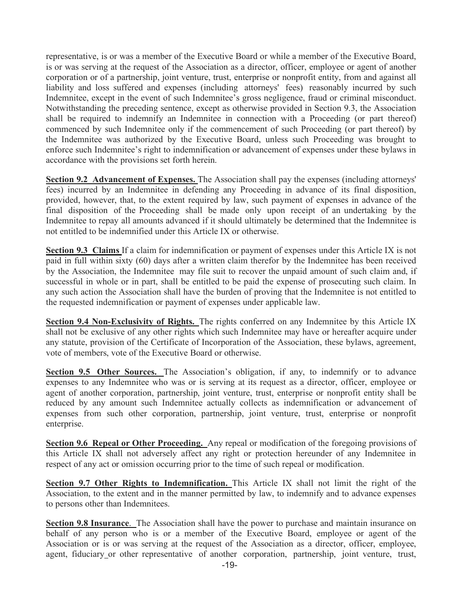representative, is or was a member of the Executive Board or while a member of the Executive Board, is or was serving at the request of the Association as a director, officer, employee or agent of another corporation or of a partnership, joint venture, trust, enterprise or nonprofit entity, from and against all liability and loss suffered and expenses (including attorneys' fees) reasonably incurred by such Indemnitee, except in the event of such Indemnitee's gross negligence, fraud or criminal misconduct. Notwithstanding the preceding sentence, except as otherwise provided in Section 9.3, the Association shall be required to indemnify an Indemnitee in connection with a Proceeding (or part thereof) commenced by such Indemnitee only if the commencement of such Proceeding (or part thereof) by the Indemnitee was authorized by the Executive Board, unless such Proceeding was brought to enforce such Indemnitee's right to indemnification or advancement of expenses under these bylaws in accordance with the provisions set forth herein.

**Section 9.2 Advancement of Expenses.** The Association shall pay the expenses (including attorneys' fees) incurred by an Indemnitee in defending any Proceeding in advance of its final disposition, provided, however, that, to the extent required by law, such payment of expenses in advance of the final disposition of the Proceeding shall be made only upon receipt of an undertaking by the Indemnitee to repay all amounts advanced if it should ultimately be determined that the Indemnitee is not entitled to be indemnified under this Article IX or otherwise.

**Section 9.3 Claims** If a claim for indemnification or payment of expenses under this Article IX is not paid in full within sixty (60) days after a written claim therefor by the Indemnitee has been received by the Association, the Indemnitee may file suit to recover the unpaid amount of such claim and, if successful in whole or in part, shall be entitled to be paid the expense of prosecuting such claim. In any such action the Association shall have the burden of proving that the Indemnitee is not entitled to the requested indemnification or payment of expenses under applicable law.

**Section 9.4 Non-Exclusivity of Rights.** The rights conferred on any Indemnitee by this Article IX shall not be exclusive of any other rights which such Indemnitee may have or hereafter acquire under any statute, provision of the Certificate of Incorporation of the Association, these bylaws, agreement, vote of members, vote of the Executive Board or otherwise.

**Section 9.5 Other Sources.** The Association's obligation, if any, to indemnify or to advance expenses to any Indemnitee who was or is serving at its request as a director, officer, employee or agent of another corporation, partnership, joint venture, trust, enterprise or nonprofit entity shall be reduced by any amount such Indemnitee actually collects as indemnification or advancement of expenses from such other corporation, partnership, joint venture, trust, enterprise or nonprofit enterprise.

**Section 9.6 Repeal or Other Proceeding.** Any repeal or modification of the foregoing provisions of this Article IX shall not adversely affect any right or protection hereunder of any Indemnitee in respect of any act or omission occurring prior to the time of such repeal or modification.

**Section 9.7 Other Rights to Indemnification.** This Article IX shall not limit the right of the Association, to the extent and in the manner permitted by law, to indemnify and to advance expenses to persons other than Indemnitees.

**Section 9.8 Insurance**. The Association shall have the power to purchase and maintain insurance on behalf of any person who is or a member of the Executive Board, employee or agent of the Association or is or was serving at the request of the Association as a director, officer, employee, agent, fiduciary or other representative of another corporation, partnership, joint venture, trust,